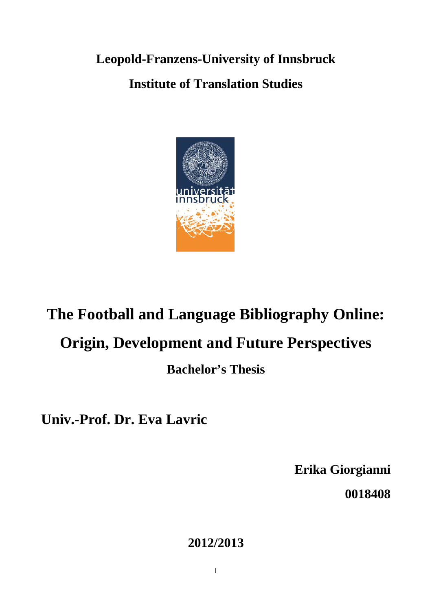**Leopold-Franzens-University of Innsbruck Institute of Translation Studies**



# **The Football and Language Bibliography Online:**

# **Origin, Development and Future Perspectives**

## **Bachelor's Thesis**

**Univ.-Prof. Dr. Eva Lavric**

**Erika Giorgianni 0018408**

### **2012/2013**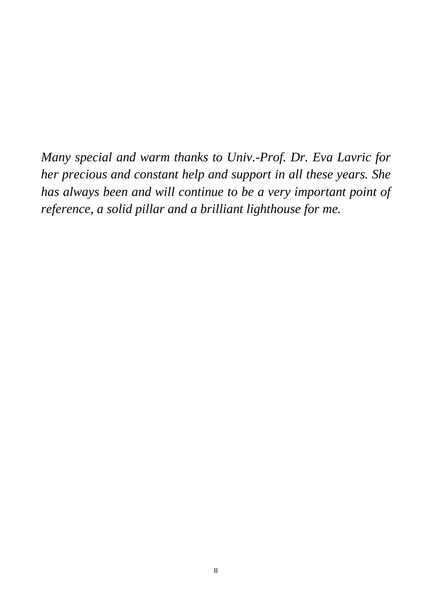*Many special and warm thanks to Univ.-Prof. Dr. Eva Lavric for her precious and constant help and support in all these years. She has always been and will continue to be a very important point of reference, a solid pillar and a brilliant lighthouse for me.*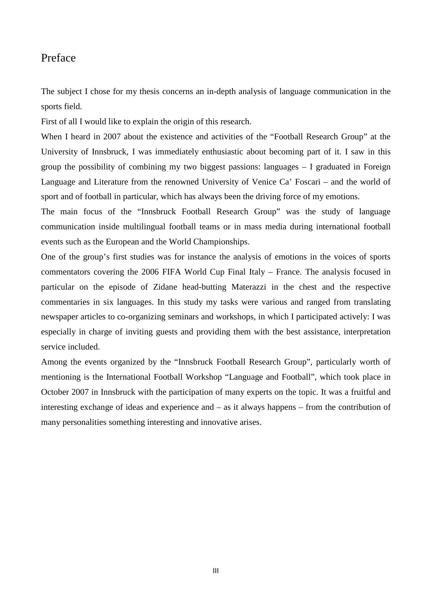#### Preface

The subject I chose for my thesis concerns an in-depth analysis of language communication in the sports field.

First of all I would like to explain the origin of this research.

When I heard in 2007 about the existence and activities of the "Football Research Group" at the University of Innsbruck, I was immediately enthusiastic about becoming part of it. I saw in this group the possibility of combining my two biggest passions: languages – I graduated in Foreign Language and Literature from the renowned University of Venice Ca' Foscari – and the world of sport and of football in particular, which has always been the driving force of my emotions.

The main focus of the "Innsbruck Football Research Group" was the study of language communication inside multilingual football teams or in mass media during international football events such as the European and the World Championships.

One of the group's first studies was for instance the analysis of emotions in the voices of sports commentators covering the 2006 FIFA World Cup Final Italy – France. The analysis focused in particular on the episode of Zidane head-butting Materazzi in the chest and the respective commentaries in six languages. In this study my tasks were various and ranged from translating newspaper articles to co-organizing seminars and workshops, in which I participated actively: I was especially in charge of inviting guests and providing them with the best assistance, interpretation service included.

Among the events organized by the "Innsbruck Football Research Group", particularly worth of mentioning is the International Football Workshop "Language and Football", which took place in October 2007 in Innsbruck with the participation of many experts on the topic. It was a fruitful and interesting exchange of ideas and experience and – as it always happens – from the contribution of many personalities something interesting and innovative arises.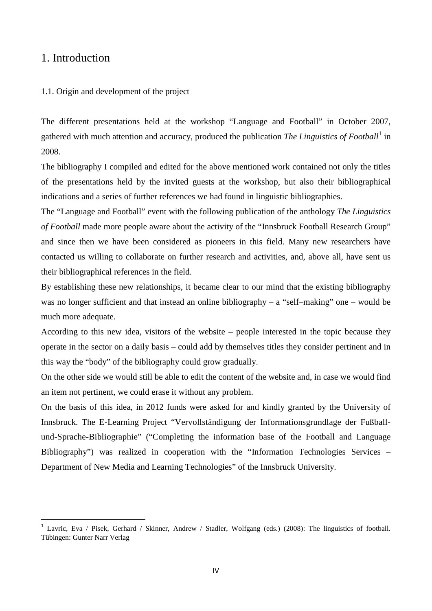#### 1. Introduction

 $\overline{a}$ 

#### 1.1. Origin and development of the project

The different presentations held at the workshop "Language and Football" in October 2007, gathered with much attention and accuracy, produced the publication *The Linguistics of Football*[1](#page-3-0) in 2008.

The bibliography I compiled and edited for the above mentioned work contained not only the titles of the presentations held by the invited guests at the workshop, but also their bibliographical indications and a series of further references we had found in linguistic bibliographies.

The "Language and Football" event with the following publication of the anthology *The Linguistics of Football* made more people aware about the activity of the "Innsbruck Football Research Group" and since then we have been considered as pioneers in this field. Many new researchers have contacted us willing to collaborate on further research and activities, and, above all, have sent us their bibliographical references in the field.

By establishing these new relationships, it became clear to our mind that the existing bibliography was no longer sufficient and that instead an online bibliography – a "self-making" one – would be much more adequate.

According to this new idea, visitors of the website – people interested in the topic because they operate in the sector on a daily basis – could add by themselves titles they consider pertinent and in this way the "body" of the bibliography could grow gradually.

On the other side we would still be able to edit the content of the website and, in case we would find an item not pertinent, we could erase it without any problem.

On the basis of this idea, in 2012 funds were asked for and kindly granted by the University of Innsbruck. The E-Learning Project "Vervollständigung der Informationsgrundlage der Fußballund-Sprache-Bibliographie" ("Completing the information base of the Football and Language Bibliography") was realized in cooperation with the "Information Technologies Services – Department of New Media and Learning Technologies" of the Innsbruck University.

<span id="page-3-0"></span><sup>1</sup> Lavric, Eva / Pisek, Gerhard / Skinner, Andrew / Stadler, Wolfgang (eds.) (2008): The linguistics of football. Tübingen: Gunter Narr Verlag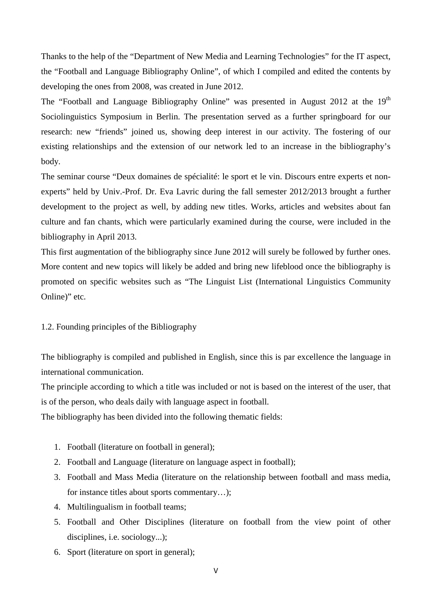Thanks to the help of the "Department of New Media and Learning Technologies" for the IT aspect, the "Football and Language Bibliography Online", of which I compiled and edited the contents by developing the ones from 2008, was created in June 2012.

The "Football and Language Bibliography Online" was presented in August 2012 at the 19<sup>th</sup> Sociolinguistics Symposium in Berlin. The presentation served as a further springboard for our research: new "friends" joined us, showing deep interest in our activity. The fostering of our existing relationships and the extension of our network led to an increase in the bibliography's body.

The seminar course "Deux domaines de spécialité: le sport et le vin. Discours entre experts et nonexperts" held by Univ.-Prof. Dr. Eva Lavric during the fall semester 2012/2013 brought a further development to the project as well, by adding new titles. Works, articles and websites about fan culture and fan chants, which were particularly examined during the course, were included in the bibliography in April 2013.

This first augmentation of the bibliography since June 2012 will surely be followed by further ones. More content and new topics will likely be added and bring new lifeblood once the bibliography is promoted on specific websites such as "The Linguist List (International Linguistics Community Online)" etc.

#### 1.2. Founding principles of the Bibliography

The bibliography is compiled and published in English, since this is par excellence the language in international communication.

The principle according to which a title was included or not is based on the interest of the user, that is of the person, who deals daily with language aspect in football.

The bibliography has been divided into the following thematic fields:

- 1. Football (literature on football in general);
- 2. Football and Language (literature on language aspect in football);
- 3. Football and Mass Media (literature on the relationship between football and mass media, for instance titles about sports commentary…);
- 4. Multilingualism in football teams;
- 5. Football and Other Disciplines (literature on football from the view point of other disciplines, i.e. sociology...);
- 6. Sport (literature on sport in general);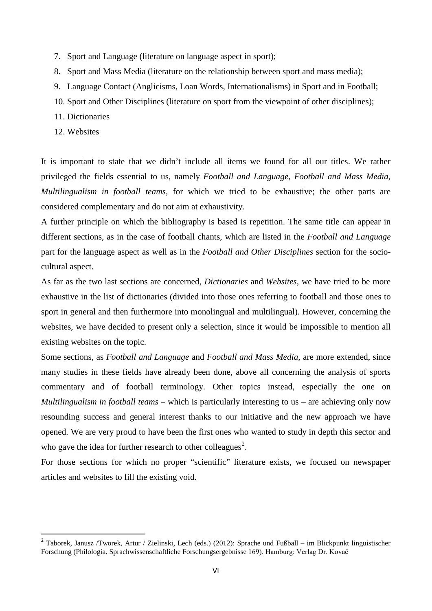- 7. Sport and Language (literature on language aspect in sport);
- 8. Sport and Mass Media (literature on the relationship between sport and mass media);
- 9. Language Contact (Anglicisms, Loan Words, Internationalisms) in Sport and in Football;
- 10. Sport and Other Disciplines (literature on sport from the viewpoint of other disciplines);
- 11. Dictionaries
- 12. Websites

**.** 

It is important to state that we didn't include all items we found for all our titles. We rather privileged the fields essential to us, namely *Football and Language*, *Football and Mass Media*, *Multilingualism in football teams*, for which we tried to be exhaustive; the other parts are considered complementary and do not aim at exhaustivity.

A further principle on which the bibliography is based is repetition. The same title can appear in different sections, as in the case of football chants, which are listed in the *Football and Language* part for the language aspect as well as in the *Football and Other Disciplines* section for the sociocultural aspect.

As far as the two last sections are concerned, *Dictionaries* and *Websites*, we have tried to be more exhaustive in the list of dictionaries (divided into those ones referring to football and those ones to sport in general and then furthermore into monolingual and multilingual). However, concerning the websites, we have decided to present only a selection, since it would be impossible to mention all existing websites on the topic.

Some sections, as *Football and Language* and *Football and Mass Media*, are more extended, since many studies in these fields have already been done, above all concerning the analysis of sports commentary and of football terminology. Other topics instead, especially the one on *Multilingualism in football teams* – which is particularly interesting to us – are achieving only now resounding success and general interest thanks to our initiative and the new approach we have opened. We are very proud to have been the first ones who wanted to study in depth this sector and who gave the idea for further research to other colleagues<sup>[2](#page-5-0)</sup>.

For those sections for which no proper "scientific" literature exists, we focused on newspaper articles and websites to fill the existing void.

<span id="page-5-0"></span><sup>2</sup> Taborek, Janusz /Tworek, Artur / Zielinski, Lech (eds.) (2012): Sprache und Fußball – im Blickpunkt linguistischer Forschung (Philologia. Sprachwissenschaftliche Forschungsergebnisse 169). Hamburg: Verlag Dr. Kovač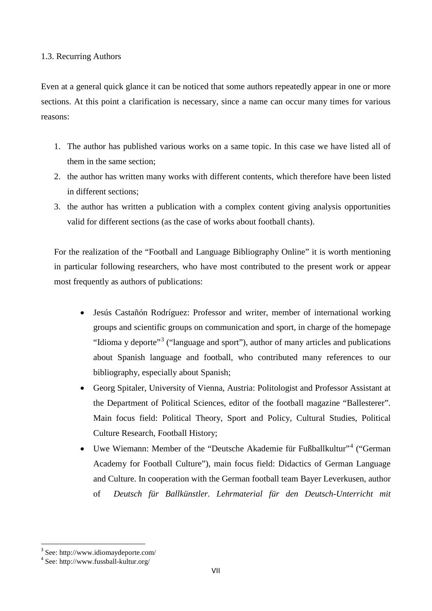#### 1.3. Recurring Authors

Even at a general quick glance it can be noticed that some authors repeatedly appear in one or more sections. At this point a clarification is necessary, since a name can occur many times for various reasons:

- 1. The author has published various works on a same topic. In this case we have listed all of them in the same section;
- 2. the author has written many works with different contents, which therefore have been listed in different sections;
- 3. the author has written a publication with a complex content giving analysis opportunities valid for different sections (as the case of works about football chants).

For the realization of the "Football and Language Bibliography Online" it is worth mentioning in particular following researchers, who have most contributed to the present work or appear most frequently as authors of publications:

- Jesús Castañón Rodríguez: Professor and writer, member of international working groups and scientific groups on communication and sport, in charge of the homepage "Idioma y deporte"<sup>[3](#page-6-0)</sup> ("language and sport"), author of many articles and publications about Spanish language and football, who contributed many references to our bibliography, especially about Spanish;
- Georg Spitaler, University of Vienna, Austria: Politologist and Professor Assistant at the Department of Political Sciences, editor of the football magazine "Ballesterer". Main focus field: Political Theory, Sport and Policy, Cultural Studies, Political Culture Research, Football History;
- Uwe Wiemann: Member of the "Deutsche Akademie für Fußballkultur"<sup>[4](#page-6-1)</sup> ("German Academy for Football Culture"), main focus field: Didactics of German Language and Culture. In cooperation with the German football team Bayer Leverkusen, author of *Deutsch für Ballkünstler. Lehrmaterial für den Deutsch-Unterricht mit*

**.** 

<span id="page-6-0"></span><sup>&</sup>lt;sup>3</sup> See: http://www.idiomaydeporte.com/<br><sup>4</sup> See: http://www.fussball-kultur.org/

<span id="page-6-1"></span>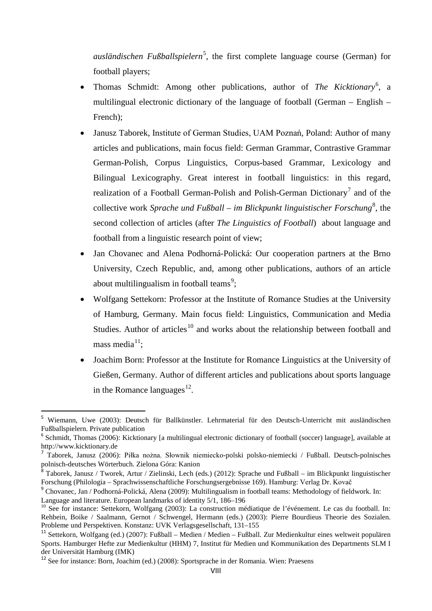*ausländischen Fußballspielern*[5](#page-7-0) , the first complete language course (German) for football players;

- Thomas Schmidt: Among other publications, author of *The Kicktionary*<sup>[6](#page-7-1)</sup>, a multilingual electronic dictionary of the language of football (German – English – French);
- Janusz Taborek, Institute of German Studies, UAM Poznań, Poland: Author of many articles and publications, main focus field: German Grammar, Contrastive Grammar German-Polish, Corpus Linguistics, Corpus-based Grammar, Lexicology and Bilingual Lexicography. Great interest in football linguistics: in this regard, realization of a Football German-Polish and Polish-German Dictionary<sup>[7](#page-7-2)</sup> and of the collective work Sprache und Fußball – im Blickpunkt linguistischer Forschung<sup>[8](#page-7-3)</sup>, the second collection of articles (after *The Linguistics of Football*) about language and football from a linguistic research point of view;
- Jan Chovanec and Alena Podhorná-Polická: Our cooperation partners at the Brno University, Czech Republic, and, among other publications, authors of an article about multilingualism in football teams<sup>[9](#page-7-4)</sup>;
- Wolfgang Settekorn: Professor at the Institute of Romance Studies at the University of Hamburg, Germany. Main focus field: Linguistics, Communication and Media Studies. Author of articles<sup>[10](#page-7-5)</sup> and works about the relationship between football and mass media $11$ ;
- Joachim Born: Professor at the Institute for Romance Linguistics at the University of Gießen, Germany. Author of different articles and publications about sports language in the Romance languages $^{12}$ .

**.** 

<span id="page-7-0"></span><sup>5</sup> Wiemann, Uwe (2003): Deutsch für Ballkünstler. Lehrmaterial für den Deutsch-Unterricht mit ausländischen Fußballspielern. Private publication<br><sup>6</sup> Schmidt, Thomas (2006): Kicktionary [a multilingual electronic dictionary of football (soccer) language], available at

<span id="page-7-1"></span>[http://www.kicktionary.de](http://www.kicktionary.de/)

<span id="page-7-2"></span><sup>7</sup> Taborek, Janusz (2006): Piłka nożna. Słownik niemiecko-polski polsko-niemiecki / Fußball. Deutsch-polnisches polnisch-deutsches Wörterbuch. Zielona Góra: Kanion

<span id="page-7-3"></span><sup>8</sup> Taborek, Janusz / Tworek, Artur / Zielinski, Lech (eds.) (2012): Sprache und Fußball – im Blickpunkt linguistischer Forschung (Philologia – Sprachwissenschaftliche Forschungsergebnisse 169). Hamburg: Verlag Dr. Kovač

<span id="page-7-4"></span><sup>&</sup>lt;sup>9</sup> Chovanec, Jan / Podhorná-Polická, Alena (2009): Multilingualism in football teams: Methodology of fieldwork. In: Language and literature. European landmarks of identity 5/1, 186–196<br><sup>10</sup> See for instance: Settekorn, Wolfgang (2003): La construction médiatique de l'événement. Le cas du football. In:

<span id="page-7-5"></span>Rehbein, Boike / Saalmann, Gernot / Schwengel, Hermann (eds.) (2003): Pierre Bourdieus Theorie des Sozialen. Probleme und Perspektiven. Konstanz: UVK Verlagsgesellschaft, 131–155

<span id="page-7-6"></span><sup>11</sup> Settekorn, Wolfgang (ed.) (2007): Fußball – Medien / Medien – Fußball. Zur Medienkultur eines weltweit populären Sports. Hamburger Hefte zur Medienkultur (HHM) 7, Institut für Medien und Kommunikation des Departments SLM I der Universität Hamburg (IMK)

<span id="page-7-7"></span><sup>&</sup>lt;sup>12</sup> See for instance: Born, Joachim (ed.) (2008): Sportsprache in der Romania. Wien: Praesens